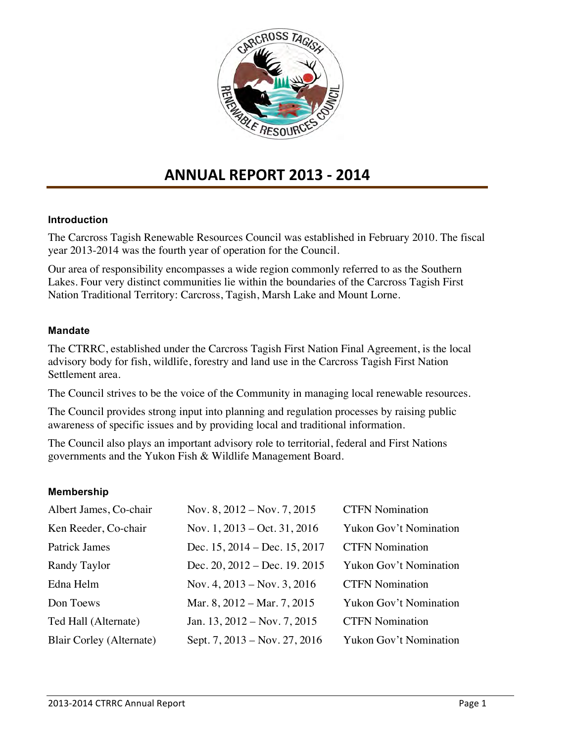

# **ANNUAL REPORT 2013 - 2014**

#### **Introduction**

The Carcross Tagish Renewable Resources Council was established in February 2010. The fiscal year 2013-2014 was the fourth year of operation for the Council.

Our area of responsibility encompasses a wide region commonly referred to as the Southern Lakes. Four very distinct communities lie within the boundaries of the Carcross Tagish First Nation Traditional Territory: Carcross, Tagish, Marsh Lake and Mount Lorne.

#### **Mandate**

The CTRRC, established under the Carcross Tagish First Nation Final Agreement, is the local advisory body for fish, wildlife, forestry and land use in the Carcross Tagish First Nation Settlement area.

The Council strives to be the voice of the Community in managing local renewable resources.

The Council provides strong input into planning and regulation processes by raising public awareness of specific issues and by providing local and traditional information.

The Council also plays an important advisory role to territorial, federal and First Nations governments and the Yukon Fish & Wildlife Management Board.

#### **Membership**

| Albert James, Co-chair   | Nov. 8, $2012 - Nov. 7, 2015$           | <b>CTFN Nomination</b>        |
|--------------------------|-----------------------------------------|-------------------------------|
| Ken Reeder, Co-chair     | Nov. 1, $2013 - Oct. 31, 2016$          | <b>Yukon Gov't Nomination</b> |
| Patrick James            | Dec. $15, 2014 - \text{Dec. } 15, 2017$ | <b>CTFN Nomination</b>        |
| Randy Taylor             | Dec. $20, 2012 - Dec. 19, 2015$         | Yukon Gov't Nomination        |
| Edna Helm                | Nov. 4, $2013 - Nov. 3, 2016$           | <b>CTFN Nomination</b>        |
| Don Toews                | Mar. 8, 2012 – Mar. 7, 2015             | <b>Yukon Gov't Nomination</b> |
| Ted Hall (Alternate)     | Jan. 13, $2012 - Nov. 7, 2015$          | <b>CTFN Nomination</b>        |
| Blair Corley (Alternate) | Sept. 7, 2013 – Nov. 27, 2016           | <b>Yukon Gov't Nomination</b> |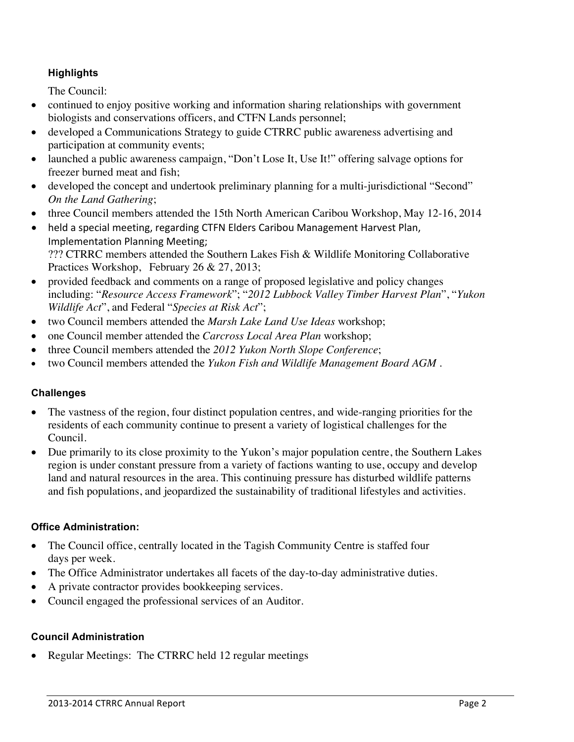## **Highlights**

The Council:

- continued to enjoy positive working and information sharing relationships with government biologists and conservations officers, and CTFN Lands personnel;
- developed a Communications Strategy to guide CTRRC public awareness advertising and participation at community events;
- launched a public awareness campaign, "Don't Lose It, Use It!" offering salvage options for freezer burned meat and fish;
- developed the concept and undertook preliminary planning for a multi-jurisdictional "Second" *On the Land Gathering*;
- three Council members attended the 15th North American Caribou Workshop, May 12-16, 2014
- held a special meeting, regarding CTFN Elders Caribou Management Harvest Plan, Implementation Planning Meeting; ??? CTRRC members attended the Southern Lakes Fish & Wildlife Monitoring Collaborative Practices Workshop, February 26 & 27, 2013;
- provided feedback and comments on a range of proposed legislative and policy changes including: "*Resource Access Framework*"; "*2012 Lubbock Valley Timber Harvest Plan*", "*Yukon Wildlife Act*", and Federal "*Species at Risk Act*";
- two Council members attended the *Marsh Lake Land Use Ideas* workshop;
- one Council member attended the *Carcross Local Area Plan* workshop;
- three Council members attended the *2012 Yukon North Slope Conference*;
- two Council members attended the *Yukon Fish and Wildlife Management Board AGM* .

## **Challenges**

- The vastness of the region, four distinct population centres, and wide-ranging priorities for the residents of each community continue to present a variety of logistical challenges for the Council.
- Due primarily to its close proximity to the Yukon's major population centre, the Southern Lakes region is under constant pressure from a variety of factions wanting to use, occupy and develop land and natural resources in the area. This continuing pressure has disturbed wildlife patterns and fish populations, and jeopardized the sustainability of traditional lifestyles and activities.

#### **Office Administration:**

- The Council office, centrally located in the Tagish Community Centre is staffed four days per week.
- The Office Administrator undertakes all facets of the day-to-day administrative duties.
- A private contractor provides bookkeeping services.
- Council engaged the professional services of an Auditor.

## **Council Administration**

• Regular Meetings: The CTRRC held 12 regular meetings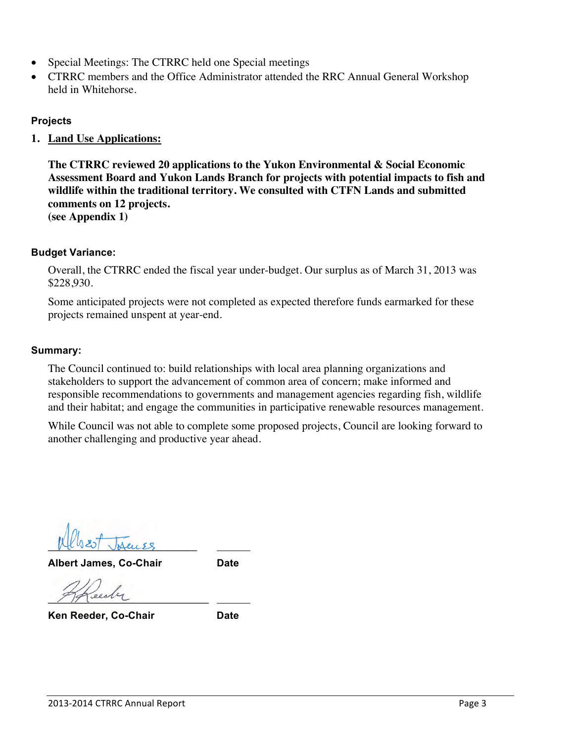- Special Meetings: The CTRRC held one Special meetings
- CTRRC members and the Office Administrator attended the RRC Annual General Workshop held in Whitehorse.

## **Projects**

**1. Land Use Applications:**

**The CTRRC reviewed 20 applications to the Yukon Environmental & Social Economic Assessment Board and Yukon Lands Branch for projects with potential impacts to fish and wildlife within the traditional territory. We consulted with CTFN Lands and submitted comments on 12 projects. (see Appendix 1)**

#### **Budget Variance:**

Overall, the CTRRC ended the fiscal year under-budget. Our surplus as of March 31, 2013 was \$228,930.

Some anticipated projects were not completed as expected therefore funds earmarked for these projects remained unspent at year-end.

#### **Summary:**

The Council continued to: build relationships with local area planning organizations and stakeholders to support the advancement of common area of concern; make informed and responsible recommendations to governments and management agencies regarding fish, wildlife and their habitat; and engage the communities in participative renewable resources management.

While Council was not able to complete some proposed projects, Council are looking forward to another challenging and productive year ahead.

 $|{\mathcal{A}}|$   $|{\mathcal{A}}|$   $|{\mathcal{A}}|$   $|{\mathcal{A}}|$   $|{\mathcal{A}}|$ 

**Albert James, Co-Chair Date**

 $9992$ 

**Ken Reeder, Co-Chair Date**